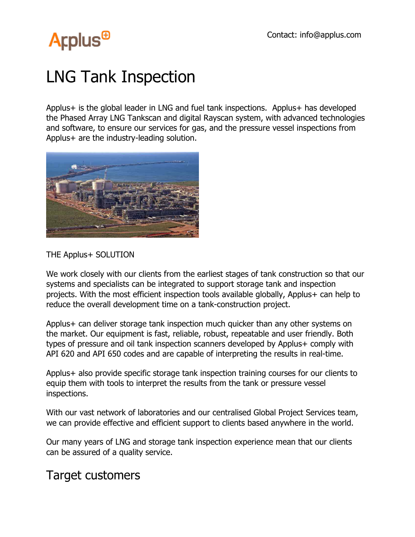# **Arplus<sup>®</sup>**

## LNG Tank Inspection

Applus+ is the global leader in LNG and fuel tank inspections. Applus+ has developed the Phased Array LNG Tankscan and digital Rayscan system, with advanced technologies and software, to ensure our services for gas, and the pressure vessel inspections from Applus+ are the industry-leading solution.



#### THE Applus+ SOLUTION

We work closely with our clients from the earliest stages of tank construction so that our systems and specialists can be integrated to support storage tank and inspection projects. With the most efficient inspection tools available globally, Applus+ can help to reduce the overall development time on a tank-construction project.

Applus+ can deliver storage tank inspection much quicker than any other systems on the market. Our equipment is fast, reliable, robust, repeatable and user friendly. Both types of pressure and oil tank inspection scanners developed by Applus+ comply with API 620 and API 650 codes and are capable of interpreting the results in real-time.

Applus+ also provide specific storage tank inspection training courses for our clients to equip them with tools to interpret the results from the tank or pressure vessel inspections.

With our vast network of laboratories and our centralised Global Project Services team, we can provide effective and efficient support to clients based anywhere in the world.

Our many years of LNG and storage tank inspection experience mean that our clients can be assured of a quality service.

## Target customers